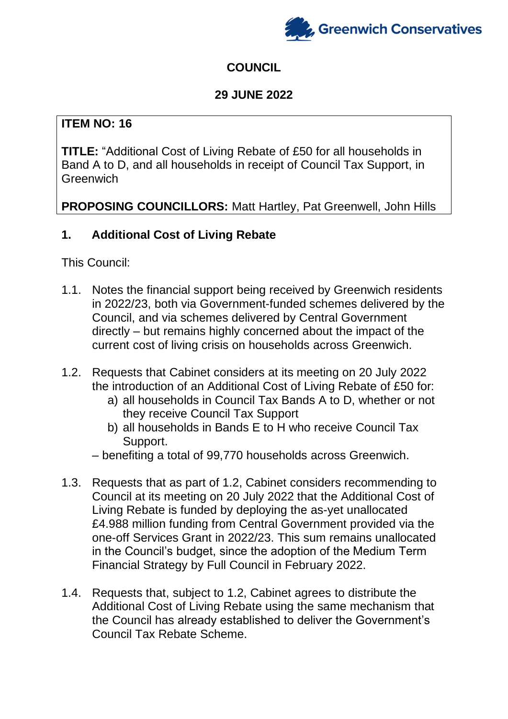

# **COUNCIL**

## **29 JUNE 2022**

## **ITEM NO: 16**

**TITLE:** "Additional Cost of Living Rebate of £50 for all households in Band A to D, and all households in receipt of Council Tax Support, in **Greenwich** 

**PROPOSING COUNCILLORS:** Matt Hartley, Pat Greenwell, John Hills

## **1. Additional Cost of Living Rebate**

This Council:

- 1.1. Notes the financial support being received by Greenwich residents in 2022/23, both via Government-funded schemes delivered by the Council, and via schemes delivered by Central Government directly – but remains highly concerned about the impact of the current cost of living crisis on households across Greenwich.
- 1.2. Requests that Cabinet considers at its meeting on 20 July 2022 the introduction of an Additional Cost of Living Rebate of £50 for:
	- a) all households in Council Tax Bands A to D, whether or not they receive Council Tax Support
	- b) all households in Bands E to H who receive Council Tax Support.
	- benefiting a total of 99,770 households across Greenwich.
- 1.3. Requests that as part of 1.2, Cabinet considers recommending to Council at its meeting on 20 July 2022 that the Additional Cost of Living Rebate is funded by deploying the as-yet unallocated £4.988 million funding from Central Government provided via the one-off Services Grant in 2022/23. This sum remains unallocated in the Council's budget, since the adoption of the Medium Term Financial Strategy by Full Council in February 2022.
- 1.4. Requests that, subject to 1.2, Cabinet agrees to distribute the Additional Cost of Living Rebate using the same mechanism that the Council has already established to deliver the Government's Council Tax Rebate Scheme.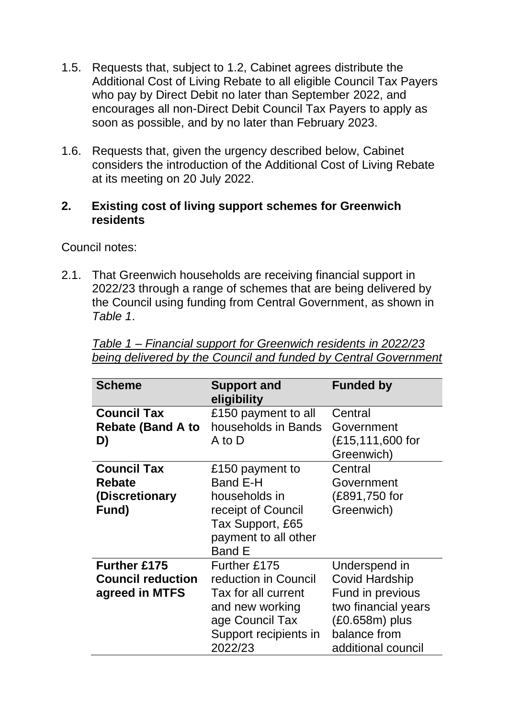- 1.5. Requests that, subject to 1.2, Cabinet agrees distribute the Additional Cost of Living Rebate to all eligible Council Tax Payers who pay by Direct Debit no later than September 2022, and encourages all non-Direct Debit Council Tax Payers to apply as soon as possible, and by no later than February 2023.
- 1.6. Requests that, given the urgency described below, Cabinet considers the introduction of the Additional Cost of Living Rebate at its meeting on 20 July 2022.

#### **2. Existing cost of living support schemes for Greenwich residents**

Council notes:

2.1. That Greenwich households are receiving financial support in 2022/23 through a range of schemes that are being delivered by the Council using funding from Central Government, as shown in *Table 1*.

| <b>Scheme</b>            | <b>Support and</b><br>eligibility | <b>Funded by</b>      |
|--------------------------|-----------------------------------|-----------------------|
| <b>Council Tax</b>       | £150 payment to all               | Central               |
| <b>Rebate (Band A to</b> | households in Bands               | Government            |
| D)                       | A to D                            | (£15,111,600 for      |
|                          |                                   | Greenwich)            |
| <b>Council Tax</b>       | £150 payment to                   | Central               |
| <b>Rebate</b>            | Band E-H                          | Government            |
| (Discretionary           | households in                     | (£891,750 for         |
| Fund)                    | receipt of Council                | Greenwich)            |
|                          | Tax Support, £65                  |                       |
|                          | payment to all other              |                       |
|                          | <b>Band E</b>                     |                       |
| <b>Further £175</b>      | Further £175                      | Underspend in         |
| <b>Council reduction</b> | reduction in Council              | <b>Covid Hardship</b> |
| agreed in MTFS           | Tax for all current               | Fund in previous      |
|                          | and new working                   | two financial years   |
|                          | age Council Tax                   | $(£0.658m)$ plus      |
|                          | Support recipients in             | balance from          |
|                          | 2022/23                           | additional council    |

*Table 1 – Financial support for Greenwich residents in 2022/23 being delivered by the Council and funded by Central Government*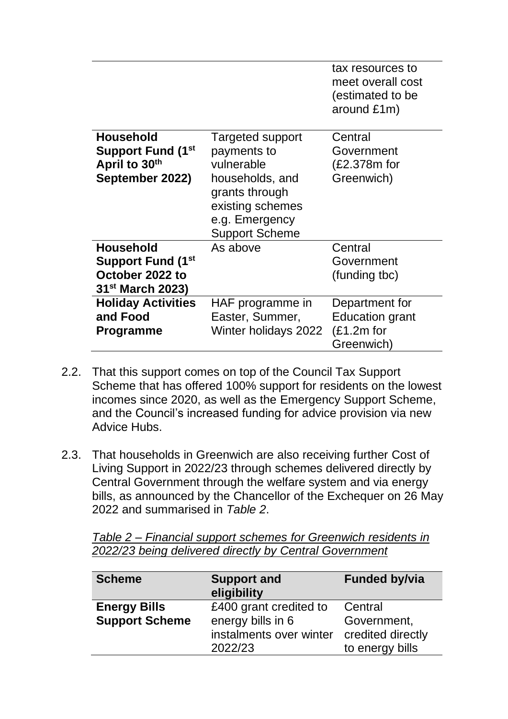|                              |                                 | tax resources to<br>meet overall cost |
|------------------------------|---------------------------------|---------------------------------------|
|                              |                                 | (estimated to be                      |
|                              |                                 | around £1m)                           |
| <b>Household</b>             |                                 | Central                               |
| <b>Support Fund (1st)</b>    | Targeted support<br>payments to | Government                            |
| April to 30th                | vulnerable                      | (£2.378m for                          |
|                              |                                 |                                       |
| September 2022)              | households, and                 | Greenwich)                            |
|                              | grants through                  |                                       |
|                              | existing schemes                |                                       |
|                              | e.g. Emergency                  |                                       |
|                              | <b>Support Scheme</b>           |                                       |
| <b>Household</b>             | As above                        | Central                               |
| <b>Support Fund (1st</b>     |                                 | Government                            |
| October 2022 to              |                                 | (funding tbc)                         |
| 31 <sup>st</sup> March 2023) |                                 |                                       |
| <b>Holiday Activities</b>    | HAF programme in                | Department for                        |
| and Food                     | Easter, Summer,                 | <b>Education grant</b>                |
| <b>Programme</b>             | Winter holidays 2022            | $£1.2m$ for                           |
|                              |                                 | Greenwich)                            |

- 2.2. That this support comes on top of the Council Tax Support Scheme that has offered 100% support for residents on the lowest incomes since 2020, as well as the Emergency Support Scheme, and the Council's increased funding for advice provision via new Advice Hubs.
- 2.3. That households in Greenwich are also receiving further Cost of Living Support in 2022/23 through schemes delivered directly by Central Government through the welfare system and via energy bills, as announced by the Chancellor of the Exchequer on 26 May 2022 and summarised in *Table 2*.

| Table 2 – Financial support schemes for Greenwich residents in |  |
|----------------------------------------------------------------|--|
| 2022/23 being delivered directly by Central Government         |  |

| <b>Scheme</b>                                | <b>Support and</b><br>eligibility                                                 | <b>Funded by/via</b>                                           |
|----------------------------------------------|-----------------------------------------------------------------------------------|----------------------------------------------------------------|
| <b>Energy Bills</b><br><b>Support Scheme</b> | £400 grant credited to<br>energy bills in 6<br>instalments over winter<br>2022/23 | Central<br>Government,<br>credited directly<br>to energy bills |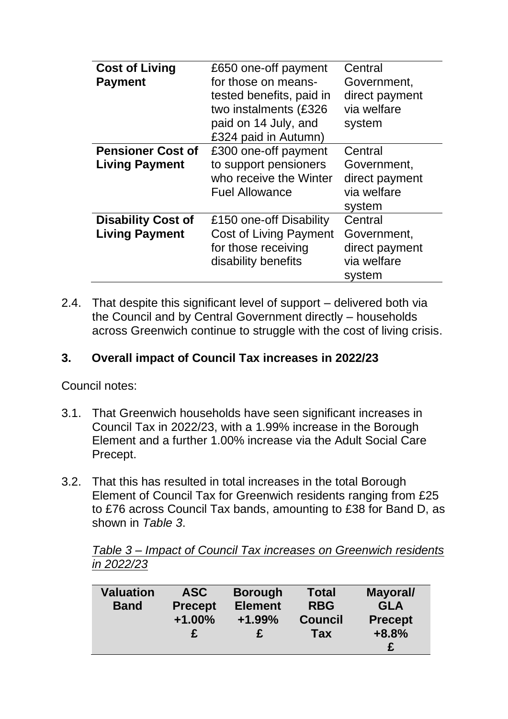| <b>Cost of Living</b>     | £650 one-off payment          | Central        |
|---------------------------|-------------------------------|----------------|
| <b>Payment</b>            | for those on means-           | Government,    |
|                           | tested benefits, paid in      | direct payment |
|                           | two instalments (£326         | via welfare    |
|                           | paid on 14 July, and          | system         |
|                           | £324 paid in Autumn)          |                |
| <b>Pensioner Cost of</b>  | £300 one-off payment          | Central        |
| <b>Living Payment</b>     | to support pensioners         | Government,    |
|                           | who receive the Winter        | direct payment |
|                           | <b>Fuel Allowance</b>         | via welfare    |
|                           |                               | system         |
| <b>Disability Cost of</b> | £150 one-off Disability       | Central        |
| <b>Living Payment</b>     | <b>Cost of Living Payment</b> | Government,    |
|                           | for those receiving           | direct payment |
|                           | disability benefits           | via welfare    |
|                           |                               | system         |

2.4. That despite this significant level of support – delivered both via the Council and by Central Government directly – households across Greenwich continue to struggle with the cost of living crisis.

## **3. Overall impact of Council Tax increases in 2022/23**

Council notes:

- 3.1. That Greenwich households have seen significant increases in Council Tax in 2022/23, with a 1.99% increase in the Borough Element and a further 1.00% increase via the Adult Social Care Precept.
- 3.2. That this has resulted in total increases in the total Borough Element of Council Tax for Greenwich residents ranging from £25 to £76 across Council Tax bands, amounting to £38 for Band D, as shown in *Table 3*.

*Table 3 – Impact of Council Tax increases on Greenwich residents in 2022/23*

| <b>Valuation</b><br><b>Band</b> | <b>ASC</b><br><b>Precept</b><br>$+1.00%$ | <b>Borough</b><br><b>Element</b><br>$+1.99%$ | <b>Total</b><br><b>RBG</b><br><b>Council</b> | Mayoral/<br><b>GLA</b><br><b>Precept</b> |
|---------------------------------|------------------------------------------|----------------------------------------------|----------------------------------------------|------------------------------------------|
|                                 |                                          |                                              | <b>Tax</b>                                   | $+8.8%$                                  |
|                                 |                                          |                                              |                                              |                                          |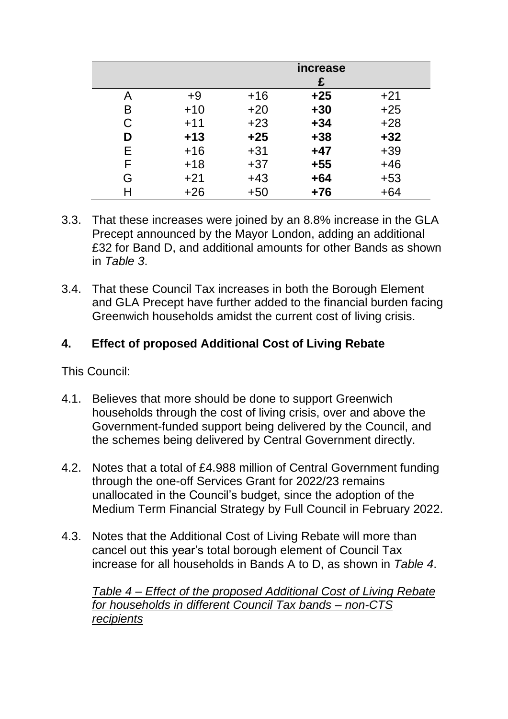|   |       |       | <i>increase</i><br>£ |       |
|---|-------|-------|----------------------|-------|
| A | $+9$  | $+16$ | $+25$                | $+21$ |
| B | $+10$ | $+20$ | $+30$                | $+25$ |
| C | $+11$ | $+23$ | $+34$                | $+28$ |
| D | $+13$ | $+25$ | $+38$                | $+32$ |
| Е | $+16$ | $+31$ | $+47$                | $+39$ |
| F | $+18$ | $+37$ | $+55$                | $+46$ |
| G | $+21$ | $+43$ | $+64$                | $+53$ |
| Н | $+26$ | $+50$ | $+76$                | $+64$ |

- 3.3. That these increases were joined by an 8.8% increase in the GLA Precept announced by the Mayor London, adding an additional £32 for Band D, and additional amounts for other Bands as shown in *Table 3*.
- 3.4. That these Council Tax increases in both the Borough Element and GLA Precept have further added to the financial burden facing Greenwich households amidst the current cost of living crisis.

## **4. Effect of proposed Additional Cost of Living Rebate**

This Council:

- 4.1. Believes that more should be done to support Greenwich households through the cost of living crisis, over and above the Government-funded support being delivered by the Council, and the schemes being delivered by Central Government directly.
- 4.2. Notes that a total of £4.988 million of Central Government funding through the one-off Services Grant for 2022/23 remains unallocated in the Council's budget, since the adoption of the Medium Term Financial Strategy by Full Council in February 2022.
- 4.3. Notes that the Additional Cost of Living Rebate will more than cancel out this year's total borough element of Council Tax increase for all households in Bands A to D, as shown in *Table 4*.

*Table 4 – Effect of the proposed Additional Cost of Living Rebate for households in different Council Tax bands – non-CTS recipients*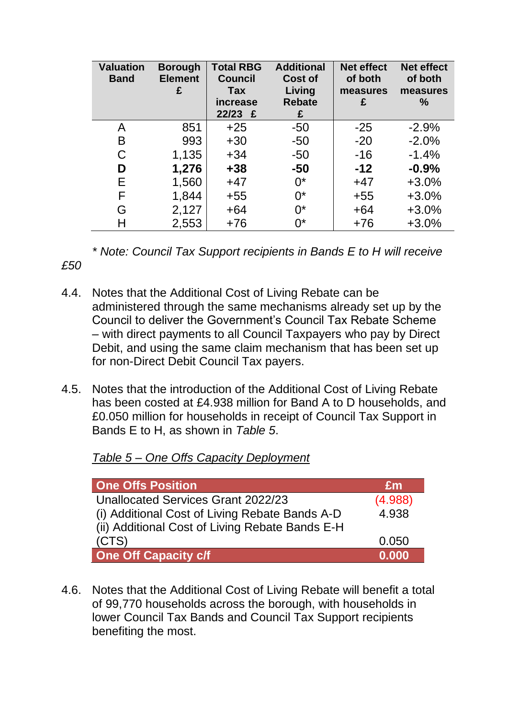| <b>Valuation</b><br><b>Band</b> | <b>Borough</b><br><b>Element</b><br>£ | <b>Total RBG</b><br><b>Council</b><br>Tax<br>increase<br>$22/23$ £ | <b>Additional</b><br><b>Cost of</b><br>Living<br><b>Rebate</b><br>£ | <b>Net effect</b><br>of both<br>measures<br>£ | <b>Net effect</b><br>of both<br>measures<br>$\frac{0}{0}$ |
|---------------------------------|---------------------------------------|--------------------------------------------------------------------|---------------------------------------------------------------------|-----------------------------------------------|-----------------------------------------------------------|
| A                               | 851                                   | $+25$                                                              | $-50$                                                               | $-25$                                         | $-2.9%$                                                   |
| B                               | 993                                   | $+30$                                                              | $-50$                                                               | $-20$                                         | $-2.0%$                                                   |
| C                               | 1,135                                 | $+34$                                                              | $-50$                                                               | $-16$                                         | $-1.4%$                                                   |
| D                               | 1,276                                 | $+38$                                                              | $-50$                                                               | $-12$                                         | $-0.9%$                                                   |
| Е                               | 1,560                                 | $+47$                                                              | $0^*$                                                               | $+47$                                         | $+3.0%$                                                   |
| F                               | 1,844                                 | $+55$                                                              | $0^*$                                                               | $+55$                                         | $+3.0%$                                                   |
| G                               | 2,127                                 | $+64$                                                              | $0^*$                                                               | $+64$                                         | $+3.0%$                                                   |
| Н                               | 2,553                                 | $+76$                                                              | $0^*$                                                               | $+76$                                         | $+3.0%$                                                   |

*\* Note: Council Tax Support recipients in Bands E to H will receive* 

- 4.4. Notes that the Additional Cost of Living Rebate can be administered through the same mechanisms already set up by the Council to deliver the Government's Council Tax Rebate Scheme – with direct payments to all Council Taxpayers who pay by Direct Debit, and using the same claim mechanism that has been set up for non-Direct Debit Council Tax payers.
- 4.5. Notes that the introduction of the Additional Cost of Living Rebate has been costed at £4.938 million for Band A to D households, and £0.050 million for households in receipt of Council Tax Support in Bands E to H, as shown in *Table 5*.

| Table 5 – One Offs Capacity Deployment |  |  |  |  |
|----------------------------------------|--|--|--|--|
|                                        |  |  |  |  |

*£50*

| <b>One Offs Position</b>                        | Em      |
|-------------------------------------------------|---------|
| Unallocated Services Grant 2022/23              | (4.988) |
| (i) Additional Cost of Living Rebate Bands A-D  | 4.938   |
| (ii) Additional Cost of Living Rebate Bands E-H |         |
| (CTS)                                           | 0.050   |
| <b>One Off Capacity c/f</b>                     | 0.000   |

4.6. Notes that the Additional Cost of Living Rebate will benefit a total of 99,770 households across the borough, with households in lower Council Tax Bands and Council Tax Support recipients benefiting the most.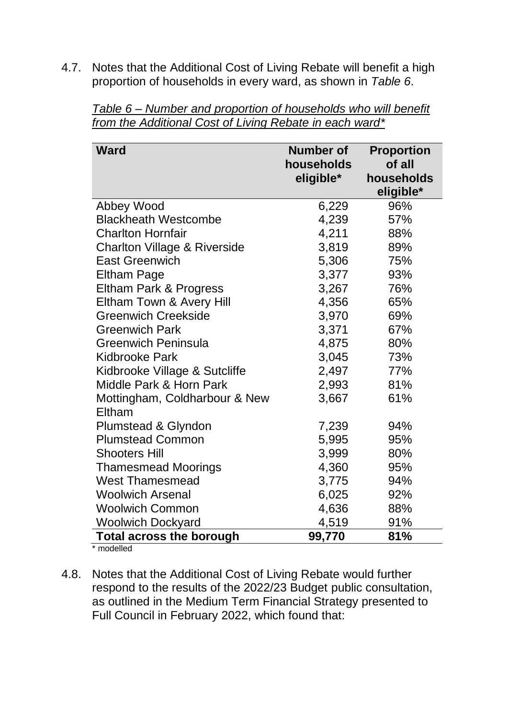4.7. Notes that the Additional Cost of Living Rebate will benefit a high proportion of households in every ward, as shown in *Table 6*.

| <b>Ward</b>                             | <b>Number of</b><br>households<br>eligible* | <b>Proportion</b><br>of all<br>households<br>eligible* |
|-----------------------------------------|---------------------------------------------|--------------------------------------------------------|
| Abbey Wood                              | 6,229                                       | 96%                                                    |
| <b>Blackheath Westcombe</b>             | 4,239                                       | 57%                                                    |
| <b>Charlton Hornfair</b>                | 4,211                                       | 88%                                                    |
| <b>Charlton Village &amp; Riverside</b> | 3,819                                       | 89%                                                    |
| <b>East Greenwich</b>                   | 5,306                                       | 75%                                                    |
| <b>Eltham Page</b>                      | 3,377                                       | 93%                                                    |
| Eltham Park & Progress                  | 3,267                                       | 76%                                                    |
| Eltham Town & Avery Hill                | 4,356                                       | 65%                                                    |
| <b>Greenwich Creekside</b>              | 3,970                                       | 69%                                                    |
| <b>Greenwich Park</b>                   | 3,371                                       | 67%                                                    |
| <b>Greenwich Peninsula</b>              | 4,875                                       | 80%                                                    |
| <b>Kidbrooke Park</b>                   | 3,045                                       | 73%                                                    |
| Kidbrooke Village & Sutcliffe           | 2,497                                       | 77%                                                    |
| Middle Park & Horn Park                 | 2,993                                       | 81%                                                    |
| Mottingham, Coldharbour & New           | 3,667                                       | 61%                                                    |
| Eltham                                  |                                             |                                                        |
| Plumstead & Glyndon                     | 7,239                                       | 94%                                                    |
| <b>Plumstead Common</b>                 | 5,995                                       | 95%                                                    |
| <b>Shooters Hill</b>                    | 3,999                                       | 80%                                                    |
| <b>Thamesmead Moorings</b>              | 4,360                                       | 95%                                                    |
| <b>West Thamesmead</b>                  | 3,775                                       | 94%                                                    |
| <b>Woolwich Arsenal</b>                 | 6,025                                       | 92%                                                    |
| <b>Woolwich Common</b>                  | 4,636                                       | 88%                                                    |
| <b>Woolwich Dockyard</b>                | 4,519                                       | 91%                                                    |
| <b>Total across the borough</b>         | 99,770                                      | 81%                                                    |

*Table 6 – Number and proportion of households who will benefit from the Additional Cost of Living Rebate in each ward\**

\* modelled

4.8. Notes that the Additional Cost of Living Rebate would further respond to the results of the 2022/23 Budget public consultation, as outlined in the Medium Term Financial Strategy presented to Full Council in February 2022, which found that: